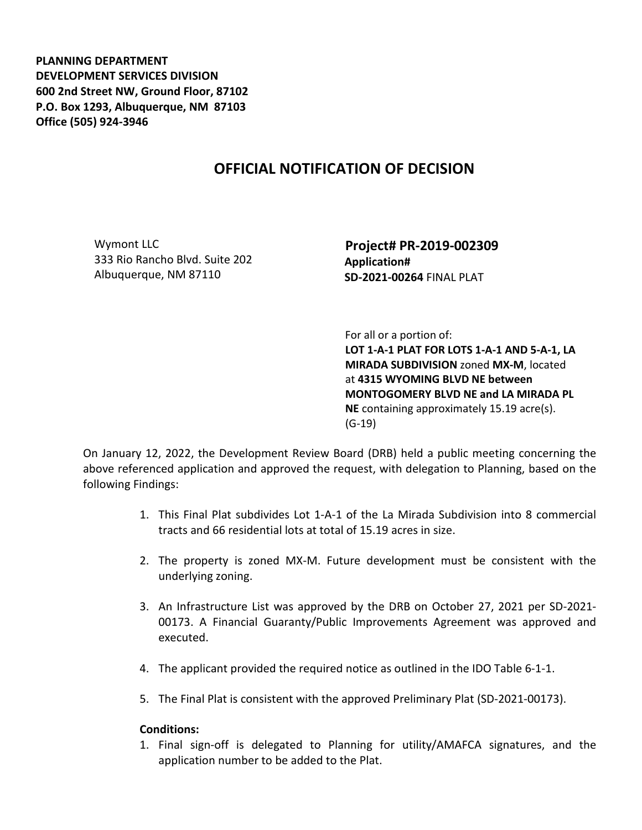**PLANNING DEPARTMENT DEVELOPMENT SERVICES DIVISION 600 2nd Street NW, Ground Floor, 87102 P.O. Box 1293, Albuquerque, NM 87103 Office (505) 924-3946** 

## **OFFICIAL NOTIFICATION OF DECISION**

Wymont LLC 333 Rio Rancho Blvd. Suite 202 Albuquerque, NM 87110

 **Project# PR-2019-002309 Application# SD-2021-00264** FINAL PLAT

 For all or a portion of: **LOT 1-A-1 PLAT FOR LOTS 1-A-1 AND 5-A-1, LA MIRADA SUBDIVISION** zoned **MX-M**, located at **4315 WYOMING BLVD NE between MONTOGOMERY BLVD NE and LA MIRADA PL NE** containing approximately 15.19 acre(s). (G-19)

On January 12, 2022, the Development Review Board (DRB) held a public meeting concerning the above referenced application and approved the request, with delegation to Planning, based on the following Findings:

- 1. This Final Plat subdivides Lot 1-A-1 of the La Mirada Subdivision into 8 commercial tracts and 66 residential lots at total of 15.19 acres in size.
- 2. The property is zoned MX-M. Future development must be consistent with the underlying zoning.
- 3. An Infrastructure List was approved by the DRB on October 27, 2021 per SD-2021- 00173. A Financial Guaranty/Public Improvements Agreement was approved and executed.
- 4. The applicant provided the required notice as outlined in the IDO Table 6-1-1.
- 5. The Final Plat is consistent with the approved Preliminary Plat (SD-2021-00173).

## **Conditions:**

1. Final sign-off is delegated to Planning for utility/AMAFCA signatures, and the application number to be added to the Plat.